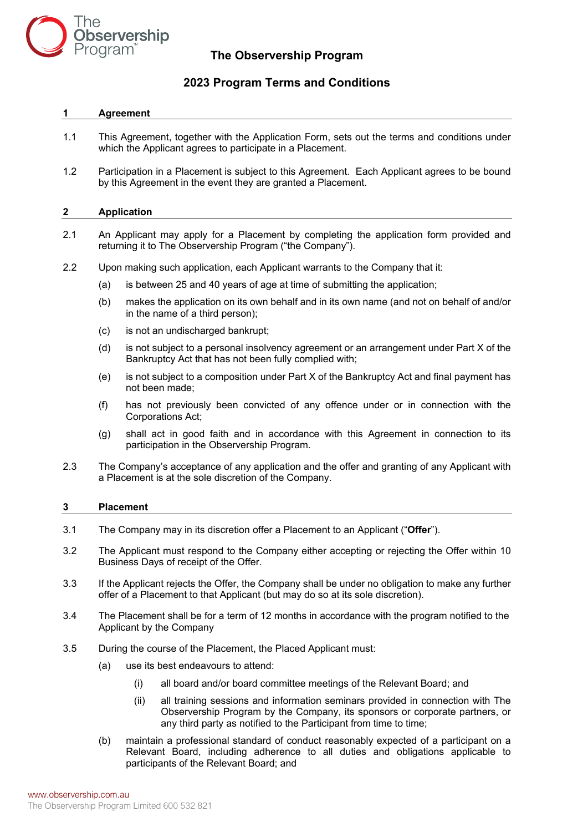

# **The Observership Program**

# **2023 Program Terms and Conditions**

# **1 Agreement**

- 1.1 This Agreement, together with the Application Form, sets out the terms and conditions under which the Applicant agrees to participate in a Placement.
- 1.2 Participation in a Placement is subject to this Agreement. Each Applicant agrees to be bound by this Agreement in the event they are granted a Placement.

# **2 Application**

- 2.1 An Applicant may apply for a Placement by completing the application form provided and returning it to The Observership Program ("the Company").
- 2.2 Upon making such application, each Applicant warrants to the Company that it:
	- (a) is between 25 and 40 years of age at time of submitting the application;
	- (b) makes the application on its own behalf and in its own name (and not on behalf of and/or in the name of a third person);
	- (c) is not an undischarged bankrupt;
	- (d) is not subject to a personal insolvency agreement or an arrangement under Part X of the Bankruptcy Act that has not been fully complied with;
	- (e) is not subject to a composition under Part X of the Bankruptcy Act and final payment has not been made;
	- (f) has not previously been convicted of any offence under or in connection with the Corporations Act;
	- (g) shall act in good faith and in accordance with this Agreement in connection to its participation in the Observership Program.
- 2.3 The Company's acceptance of any application and the offer and granting of any Applicant with a Placement is at the sole discretion of the Company.

## **3 Placement**

- <span id="page-0-0"></span>3.1 The Company may in its discretion offer a Placement to an Applicant ("**Offer**").
- 3.2 The Applicant must respond to the Company either accepting or rejecting the Offer within 10 Business Days of receipt of the Offer.
- 3.3 If the Applicant rejects the Offer, the Company shall be under no obligation to make any further offer of a Placement to that Applicant (but may do so at its sole discretion).
- 3.4 The Placement shall be for a term of 12 months in accordance with the program notified to the Applicant by the Company
- 3.5 During the course of the Placement, the Placed Applicant must:
	- (a) use its best endeavours to attend:
		- (i) all board and/or board committee meetings of the Relevant Board; and
		- (ii) all training sessions and information seminars provided in connection with The Observership Program by the Company, its sponsors or corporate partners, or any third party as notified to the Participant from time to time;
	- (b) maintain a professional standard of conduct reasonably expected of a participant on a Relevant Board, including adherence to all duties and obligations applicable to participants of the Relevant Board; and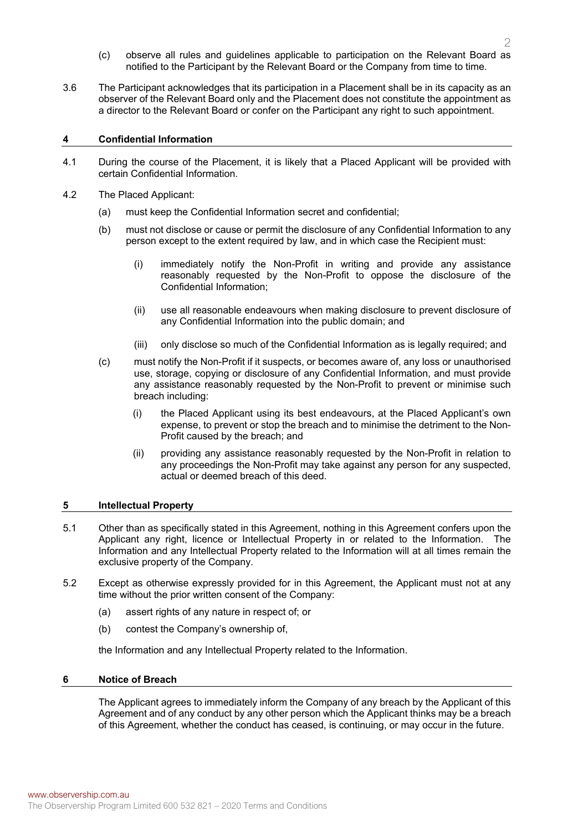- (c) observe all rules and guidelines applicable to participation on the Relevant Board as notified to the Participant by the Relevant Board or the Company from time to time.
- 3.6 The Participant acknowledges that its participation in a Placement shall be in its capacity as an observer of the Relevant Board only and the Placement does not constitute the appointment as a director to the Relevant Board or confer on the Participant any right to such appointment.

# **4 Confidential Information**

- 4.1 During the course of the Placement, it is likely that a Placed Applicant will be provided with certain Confidential Information.
- 4.2 The Placed Applicant:
	- (a) must keep the Confidential Information secret and confidential;
	- (b) must not disclose or cause or permit the disclosure of any Confidential Information to any person except to the extent required by law, and in which case the Recipient must:
		- (i) immediately notify the Non-Profit in writing and provide any assistance reasonably requested by the Non-Profit to oppose the disclosure of the Confidential Information;
		- (ii) use all reasonable endeavours when making disclosure to prevent disclosure of any Confidential Information into the public domain; and
		- (iii) only disclose so much of the Confidential Information as is legally required; and
	- (c) must notify the Non-Profit if it suspects, or becomes aware of, any loss or unauthorised use, storage, copying or disclosure of any Confidential Information, and must provide any assistance reasonably requested by the Non-Profit to prevent or minimise such breach including:
		- (i) the Placed Applicant using its best endeavours, at the Placed Applicant's own expense, to prevent or stop the breach and to minimise the detriment to the Non-Profit caused by the breach; and
		- (ii) providing any assistance reasonably requested by the Non-Profit in relation to any proceedings the Non-Profit may take against any person for any suspected, actual or deemed breach of this deed.

# **5 Intellectual Property**

- 5.1 Other than as specifically stated in this Agreement, nothing in this Agreement confers upon the Applicant any right, licence or Intellectual Property in or related to the Information. The Information and any Intellectual Property related to the Information will at all times remain the exclusive property of the Company.
- 5.2 Except as otherwise expressly provided for in this Agreement, the Applicant must not at any time without the prior written consent of the Company:
	- (a) assert rights of any nature in respect of; or
	- (b) contest the Company's ownership of,

the Information and any Intellectual Property related to the Information.

## **6 Notice of Breach**

The Applicant agrees to immediately inform the Company of any breach by the Applicant of this Agreement and of any conduct by any other person which the Applicant thinks may be a breach of this Agreement, whether the conduct has ceased, is continuing, or may occur in the future.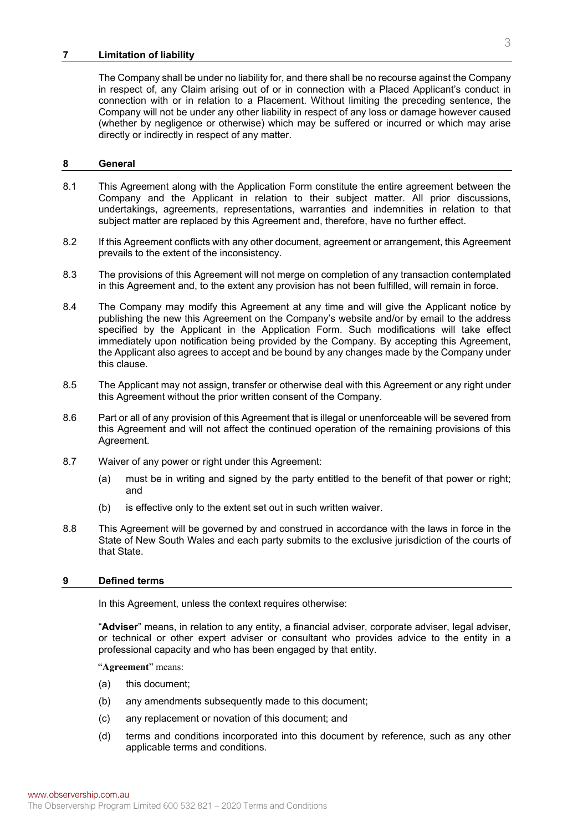### **7 Limitation of liability**

The Company shall be under no liability for, and there shall be no recourse against the Company in respect of, any Claim arising out of or in connection with a Placed Applicant's conduct in connection with or in relation to a Placement. Without limiting the preceding sentence, the Company will not be under any other liability in respect of any loss or damage however caused (whether by negligence or otherwise) which may be suffered or incurred or which may arise directly or indirectly in respect of any matter.

### **8 General**

- 8.1 This Agreement along with the Application Form constitute the entire agreement between the Company and the Applicant in relation to their subject matter. All prior discussions, undertakings, agreements, representations, warranties and indemnities in relation to that subject matter are replaced by this Agreement and, therefore, have no further effect.
- 8.2 If this Agreement conflicts with any other document, agreement or arrangement, this Agreement prevails to the extent of the inconsistency.
- 8.3 The provisions of this Agreement will not merge on completion of any transaction contemplated in this Agreement and, to the extent any provision has not been fulfilled, will remain in force.
- 8.4 The Company may modify this Agreement at any time and will give the Applicant notice by publishing the new this Agreement on the Company's website and/or by email to the address specified by the Applicant in the Application Form. Such modifications will take effect immediately upon notification being provided by the Company. By accepting this Agreement, the Applicant also agrees to accept and be bound by any changes made by the Company under this clause.
- 8.5 The Applicant may not assign, transfer or otherwise deal with this Agreement or any right under this Agreement without the prior written consent of the Company.
- 8.6 Part or all of any provision of this Agreement that is illegal or unenforceable will be severed from this Agreement and will not affect the continued operation of the remaining provisions of this Agreement.
- 8.7 Waiver of any power or right under this Agreement:
	- (a) must be in writing and signed by the party entitled to the benefit of that power or right; and
	- (b) is effective only to the extent set out in such written waiver.
- 8.8 This Agreement will be governed by and construed in accordance with the laws in force in the State of New South Wales and each party submits to the exclusive jurisdiction of the courts of that State.

#### **9 Defined terms**

In this Agreement, unless the context requires otherwise:

"**Adviser**" means, in relation to any entity, a financial adviser, corporate adviser, legal adviser, or technical or other expert adviser or consultant who provides advice to the entity in a professional capacity and who has been engaged by that entity.

"**Agreement**" means:

- (a) this document;
- (b) any amendments subsequently made to this document;
- (c) any replacement or novation of this document; and
- (d) terms and conditions incorporated into this document by reference, such as any other applicable terms and conditions.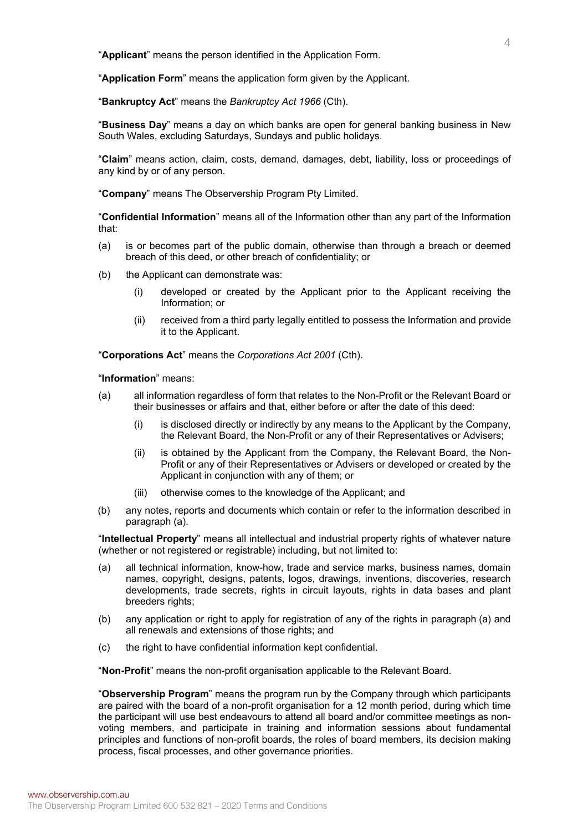"**Applicant**" means the person identified in the Application Form.

"**Application Form**" means the application form given by the Applicant.

"**Bankruptcy Act**" means the *Bankruptcy Act 1966* (Cth).

"**Business Day**" means a day on which banks are open for general banking business in New South Wales, excluding Saturdays, Sundays and public holidays.

"**Claim**" means action, claim, costs, demand, damages, debt, liability, loss or proceedings of any kind by or of any person.

"**Company**" means The Observership Program Pty Limited.

"**Confidential Information**" means all of the Information other than any part of the Information that:

- (a) is or becomes part of the public domain, otherwise than through a breach or deemed breach of this deed, or other breach of confidentiality; or
- (b) the Applicant can demonstrate was:
	- (i) developed or created by the Applicant prior to the Applicant receiving the Information; or
	- (ii) received from a third party legally entitled to possess the Information and provide it to the Applicant.

"**Corporations Act**" means the *Corporations Act 2001* (Cth).

"**Information**" means:

- <span id="page-3-0"></span>(a) all information regardless of form that relates to the Non-Profit or the Relevant Board or their businesses or affairs and that, either before or after the date of this deed:
	- (i) is disclosed directly or indirectly by any means to the Applicant by the Company, the Relevant Board, the Non-Profit or any of their Representatives or Advisers;
	- (ii) is obtained by the Applicant from the Company, the Relevant Board, the Non-Profit or any of their Representatives or Advisers or developed or created by the Applicant in conjunction with any of them; or
	- (iii) otherwise comes to the knowledge of the Applicant; and
- (b) any notes, reports and documents which contain or refer to the information described in paragraph [\(a\).](#page-3-0)

"**Intellectual Property**" means all intellectual and industrial property rights of whatever nature (whether or not registered or registrable) including, but not limited to:

- <span id="page-3-1"></span>(a) all technical information, know-how, trade and service marks, business names, domain names, copyright, designs, patents, logos, drawings, inventions, discoveries, research developments, trade secrets, rights in circuit layouts, rights in data bases and plant breeders rights;
- (b) any application or right to apply for registration of any of the rights in paragraph [\(a\)](#page-3-1) and all renewals and extensions of those rights; and
- (c) the right to have confidential information kept confidential.

"**Non-Profit**" means the non-profit organisation applicable to the Relevant Board.

"**Observership Program**" means the program run by the Company through which participants are paired with the board of a non-profit organisation for a 12 month period, during which time the participant will use best endeavours to attend all board and/or committee meetings as nonvoting members, and participate in training and information sessions about fundamental principles and functions of non-profit boards, the roles of board members, its decision making process, fiscal processes, and other governance priorities.